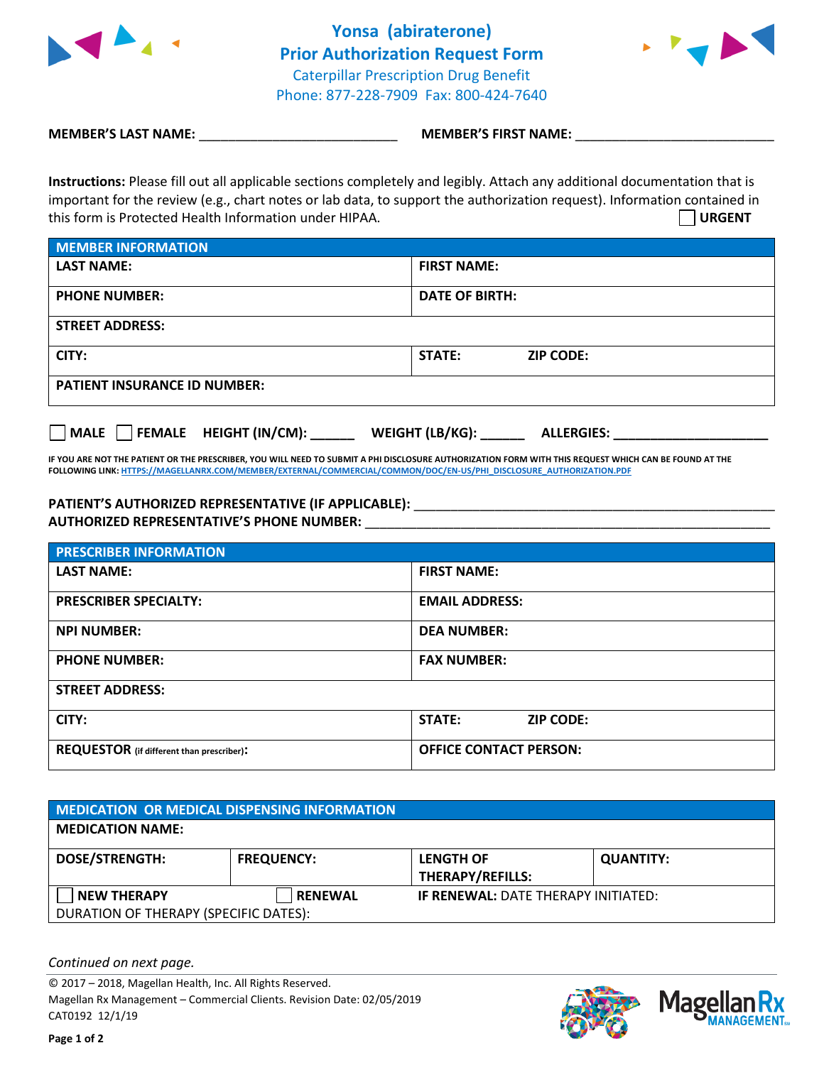

**Yonsa (abiraterone) Prior Authorization Request Form** Caterpillar Prescription Drug Benefit Phone: 877-228-7909 Fax: 800-424-7640



**MEMBER'S LAST NAME:**  $\blacksquare$  **MEMBER'S FIRST NAME:** 

**Instructions:** Please fill out all applicable sections completely and legibly. Attach any additional documentation that is important for the review (e.g., chart notes or lab data, to support the authorization request). Information contained in this form is Protected Health Information under HIPAA. **URGENT**

| <b>MEMBER INFORMATION</b>           |                            |  |  |  |
|-------------------------------------|----------------------------|--|--|--|
| <b>LAST NAME:</b>                   | <b>FIRST NAME:</b>         |  |  |  |
| <b>PHONE NUMBER:</b>                | DATE OF BIRTH:             |  |  |  |
| <b>STREET ADDRESS:</b>              |                            |  |  |  |
| CITY:                               | STATE:<br><b>ZIP CODE:</b> |  |  |  |
| <b>PATIENT INSURANCE ID NUMBER:</b> |                            |  |  |  |

**MALE FEMALE HEIGHT (IN/CM): \_\_\_\_\_\_ WEIGHT (LB/KG): \_\_\_\_\_\_ ALLERGIES: \_\_\_\_\_\_\_\_\_\_\_\_\_\_\_\_\_\_\_\_\_**

**IF YOU ARE NOT THE PATIENT OR THE PRESCRIBER, YOU WILL NEED TO SUBMIT A PHI DISCLOSURE AUTHORIZATION FORM WITH THIS REQUEST WHICH CAN BE FOUND AT THE FOLLOWING LINK[: HTTPS://MAGELLANRX.COM/MEMBER/EXTERNAL/COMMERCIAL/COMMON/DOC/EN-US/PHI\\_DISCLOSURE\\_AUTHORIZATION.PDF](https://magellanrx.com/member/external/commercial/common/doc/en-us/PHI_Disclosure_Authorization.pdf)**

## **PATIENT'S AUTHORIZED REPRESENTATIVE (IF APPLICABLE):** \_\_\_\_\_\_\_\_\_\_\_\_\_\_\_\_\_\_\_\_\_\_\_\_\_\_\_\_\_\_\_\_\_\_\_\_\_\_\_\_\_\_\_\_\_\_\_\_\_ **AUTHORIZED REPRESENTATIVE'S PHONE NUMBER:** \_\_\_\_\_\_\_\_\_\_\_\_\_\_\_\_\_\_\_\_\_\_\_\_\_\_\_\_\_\_\_\_\_\_\_\_\_\_\_\_\_\_\_\_\_\_\_\_\_\_\_\_\_\_\_

| <b>PRESCRIBER INFORMATION</b>                    |                                   |  |  |
|--------------------------------------------------|-----------------------------------|--|--|
| <b>LAST NAME:</b>                                | <b>FIRST NAME:</b>                |  |  |
| <b>PRESCRIBER SPECIALTY:</b>                     | <b>EMAIL ADDRESS:</b>             |  |  |
| <b>NPI NUMBER:</b>                               | <b>DEA NUMBER:</b>                |  |  |
| <b>PHONE NUMBER:</b>                             | <b>FAX NUMBER:</b>                |  |  |
| <b>STREET ADDRESS:</b>                           |                                   |  |  |
| CITY:                                            | <b>STATE:</b><br><b>ZIP CODE:</b> |  |  |
| <b>REQUESTOR</b> (if different than prescriber): | <b>OFFICE CONTACT PERSON:</b>     |  |  |

| <b>MEDICATION OR MEDICAL DISPENSING INFORMATION</b> |                   |                                             |                  |  |  |
|-----------------------------------------------------|-------------------|---------------------------------------------|------------------|--|--|
| <b>MEDICATION NAME:</b>                             |                   |                                             |                  |  |  |
| <b>DOSE/STRENGTH:</b>                               | <b>FREQUENCY:</b> | <b>LENGTH OF</b><br><b>THERAPY/REFILLS:</b> | <b>QUANTITY:</b> |  |  |
| <b>NEW THERAPY</b>                                  | <b>RENEWAL</b>    | <b>IF RENEWAL: DATE THERAPY INITIATED:</b>  |                  |  |  |
| DURATION OF THERAPY (SPECIFIC DATES):               |                   |                                             |                  |  |  |

*Continued on next page.*

© 2017 – 2018, Magellan Health, Inc. All Rights Reserved. Magellan Rx Management – Commercial Clients. Revision Date: 02/05/2019 CAT0192 12/1/19